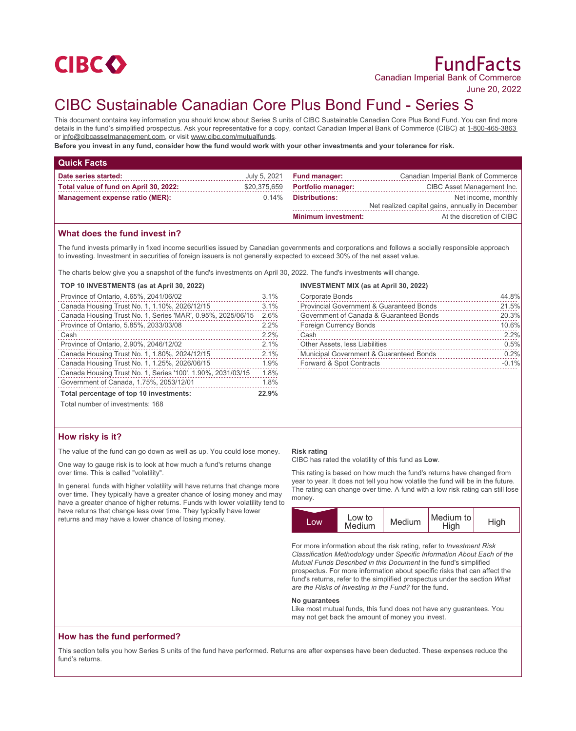

June 20, 2022

# CIBC Sustainable Canadian Core Plus Bond Fund - Series S

This document contains key information you should know about Series S units of CIBC Sustainable Canadian Core Plus Bond Fund. You can find more details in the fund's simplified prospectus. Ask your representative for a copy, contact Canadian Imperial Bank of Commerce (CIBC) at 1-800-465-3863 or info@cibcassetmanagement.com, or visit www.cibc.com/mutualfunds.

**Before you invest in any fund, consider how the fund would work with your other investments and your tolerance for risk.**

| <b>Quick Facts</b>                     |              |                            |                                                  |
|----------------------------------------|--------------|----------------------------|--------------------------------------------------|
| Date series started:                   | July 5, 2021 | <b>Fund manager:</b>       | Canadian Imperial Bank of Commerce               |
| Total value of fund on April 30, 2022: | \$20,375,659 | <b>Portfolio manager:</b>  | CIBC Asset Management Inc.                       |
| <b>Management expense ratio (MER):</b> | $0.14\%$     | <b>Distributions:</b>      | Net income, monthly                              |
|                                        |              |                            | Net realized capital gains, annually in December |
|                                        |              | <b>Minimum investment:</b> | At the discretion of CIBC                        |

# **What does the fund invest in?**

The fund invests primarily in fixed income securities issued by Canadian governments and corporations and follows a socially responsible approach to investing. Investment in securities of foreign issuers is not generally expected to exceed 30% of the net asset value.

The charts below give you a snapshot of the fund's investments on April 30, 2022. The fund's investments will change.

## **TOP 10 INVESTMENTS (as at April 30, 2022)**

| Province of Ontario, 4.65%, 2041/06/02                      | 3.1% |
|-------------------------------------------------------------|------|
| Canada Housing Trust No. 1, 1.10%, 2026/12/15               | 3.1% |
| Canada Housing Trust No. 1, Series 'MAR', 0.95%, 2025/06/15 | 2.6% |
| Province of Ontario, 5.85%, 2033/03/08                      | 2.2% |
| Cash                                                        | 2.2% |
| Province of Ontario, 2.90%, 2046/12/02                      | 2.1% |
| Canada Housing Trust No. 1, 1.80%, 2024/12/15               | 2.1% |
| Canada Housing Trust No. 1, 1.25%, 2026/06/15               | 1.9% |
| Canada Housing Trust No. 1, Series '100', 1.90%, 2031/03/15 | 1.8% |
| Government of Canada, 1.75%, 2053/12/01                     | 1.8% |
| Total percentage of top 10 investments:                     |      |
| Total number of investments: 168                            |      |

#### **INVESTMENT MIX (as at April 30, 2022)**

| <b>Corporate Bonds</b>                              | 44.8%   |
|-----------------------------------------------------|---------|
| <b>Provincial Government &amp; Guaranteed Bonds</b> | 21.5%   |
| Government of Canada & Guaranteed Bonds             | 20.3%   |
| <b>Foreign Currency Bonds</b>                       | 10.6%   |
| Cash                                                | 2.2%    |
| Other Assets, less Liabilities                      | 0.5%    |
| Municipal Government & Guaranteed Bonds             | 0.2%    |
| Forward & Spot Contracts                            | $-0.1%$ |
|                                                     |         |

# **How risky is it?**

The value of the fund can go down as well as up. You could lose money.

One way to gauge risk is to look at how much a fund's returns change over time. This is called "volatility".

In general, funds with higher volatility will have returns that change more over time. They typically have a greater chance of losing money and may have a greater chance of higher returns. Funds with lower volatility tend to have returns that change less over time. They typically have lower returns and may have a lower chance of losing money.

## **Risk rating**

CIBC has rated the volatility of this fund as **Low**.

This rating is based on how much the fund's returns have changed from year to year. It does not tell you how volatile the fund will be in the future. The rating can change over time. A fund with a low risk rating can still lose money.



For more information about the risk rating, refer to *Investment Risk Classification Methodology* under *Specific Information About Each of the Mutual Funds Described in this Document* in the fund's simplified prospectus. For more information about specific risks that can affect the fund's returns, refer to the simplified prospectus under the section *What are the Risks of Investing in the Fund?* for the fund.

#### **No guarantees**

Like most mutual funds, this fund does not have any guarantees. You may not get back the amount of money you invest.

# **How has the fund performed?**

This section tells you how Series S units of the fund have performed. Returns are after expenses have been deducted. These expenses reduce the fund's returns.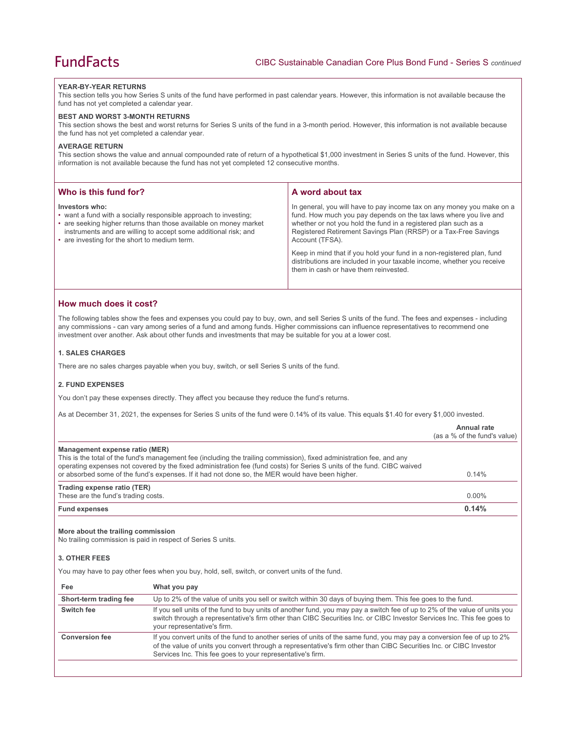### **YEAR-BY-YEAR RETURNS**

This section tells you how Series S units of the fund have performed in past calendar years. However, this information is not available because the fund has not yet completed a calendar year.

#### **BEST AND WORST 3-MONTH RETURNS**

This section shows the best and worst returns for Series S units of the fund in a 3-month period. However, this information is not available because the fund has not yet completed a calendar year.

## **AVERAGE RETURN**

This section shows the value and annual compounded rate of return of a hypothetical \$1,000 investment in Series S units of the fund. However, this information is not available because the fund has not yet completed 12 consecutive months.

| Who is this fund for?                                                                                                                                                                                                                                                       | A word about tax                                                                                                                                                                                                                                                                                                                                                                                                                                                                                  |
|-----------------------------------------------------------------------------------------------------------------------------------------------------------------------------------------------------------------------------------------------------------------------------|---------------------------------------------------------------------------------------------------------------------------------------------------------------------------------------------------------------------------------------------------------------------------------------------------------------------------------------------------------------------------------------------------------------------------------------------------------------------------------------------------|
| Investors who:<br>• want a fund with a socially responsible approach to investing;<br>• are seeking higher returns than those available on money market<br>instruments and are willing to accept some additional risk; and<br>• are investing for the short to medium term. | In general, you will have to pay income tax on any money you make on a<br>fund. How much you pay depends on the tax laws where you live and<br>whether or not you hold the fund in a registered plan such as a<br>Registered Retirement Savings Plan (RRSP) or a Tax-Free Savings<br>Account (TFSA).<br>Keep in mind that if you hold your fund in a non-registered plan, fund<br>distributions are included in your taxable income, whether you receive<br>them in cash or have them reinvested. |

# **How much does it cost?**

The following tables show the fees and expenses you could pay to buy, own, and sell Series S units of the fund. The fees and expenses - including any commissions - can vary among series of a fund and among funds. Higher commissions can influence representatives to recommend one investment over another. Ask about other funds and investments that may be suitable for you at a lower cost.

#### **1. SALES CHARGES**

There are no sales charges payable when you buy, switch, or sell Series S units of the fund.

## **2. FUND EXPENSES**

You don't pay these expenses directly. They affect you because they reduce the fund's returns.

As at December 31, 2021, the expenses for Series S units of the fund were 0.14% of its value. This equals \$1.40 for every \$1,000 invested.

|                                                                                                                                                                                                                                                                                                                                                                                       | Annual rate<br>(as a % of the fund's value) |
|---------------------------------------------------------------------------------------------------------------------------------------------------------------------------------------------------------------------------------------------------------------------------------------------------------------------------------------------------------------------------------------|---------------------------------------------|
| Management expense ratio (MER)<br>This is the total of the fund's management fee (including the trailing commission), fixed administration fee, and any<br>operating expenses not covered by the fixed administration fee (fund costs) for Series S units of the fund. CIBC waived<br>or absorbed some of the fund's expenses. If it had not done so, the MER would have been higher. | 0.14%                                       |
| Trading expense ratio (TER)<br>These are the fund's trading costs.                                                                                                                                                                                                                                                                                                                    | $0.00\%$                                    |
| <b>Fund expenses</b>                                                                                                                                                                                                                                                                                                                                                                  | 0.14%                                       |

#### **More about the trailing commission**

No trailing commission is paid in respect of Series S units.

## **3. OTHER FEES**

You may have to pay other fees when you buy, hold, sell, switch, or convert units of the fund.

|                                                                                                                                                                                                                                                      | Fee                    |
|------------------------------------------------------------------------------------------------------------------------------------------------------------------------------------------------------------------------------------------------------|------------------------|
|                                                                                                                                                                                                                                                      | Short-term trading fee |
| If you sell units of the fund to buy units of another fund, you may pay a switch fee of up to 2% of the value of units you<br>switch through a representative's firm other than CIBC Securities Inc. or CIBC Investor Services Inc. This fee goes to | Switch fee             |
| If you convert units of the fund to another series of units of the same fund, you may pay a conversion fee of up to 2%<br>of the value of units you convert through a representative's firm other than CIBC Securities Inc. or CIBC Investor         | <b>Conversion fee</b>  |
|                                                                                                                                                                                                                                                      |                        |